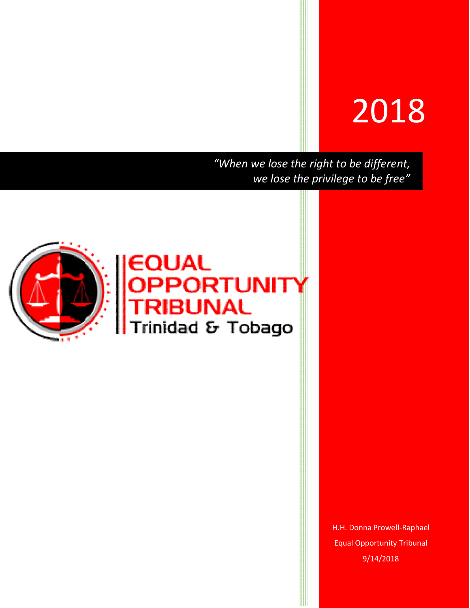# 2018

*"When we lose the right to be different, we lose the privilege to be free"*



H.H. Donna Prowell-Raphael Equal Opportunity Tribunal 9/14/2018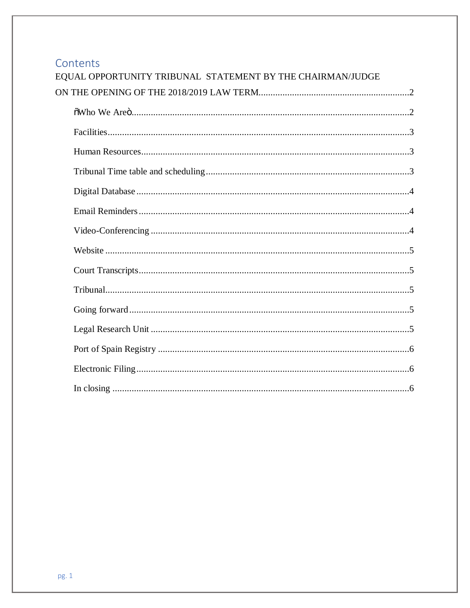### Contents

| EQUAL OPPORTUNITY TRIBUNAL STATEMENT BY THE CHAIRMAN/JUDGE |
|------------------------------------------------------------|
|                                                            |
|                                                            |
|                                                            |
|                                                            |
|                                                            |
|                                                            |
|                                                            |
|                                                            |
|                                                            |
|                                                            |
|                                                            |
|                                                            |
|                                                            |
|                                                            |
|                                                            |
|                                                            |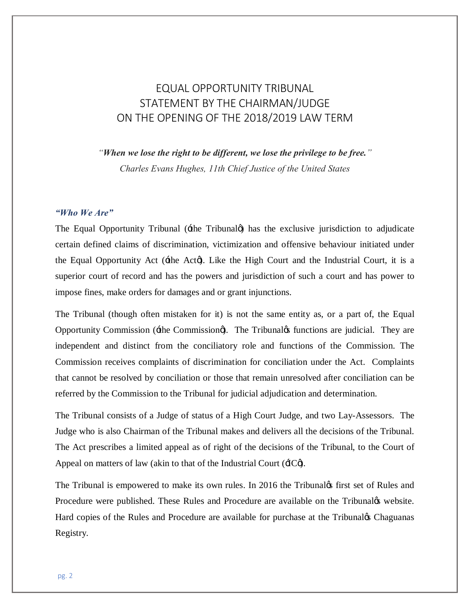## EQUAL OPPORTUNITY TRIBUNAL STATEMENT BY THE CHAIRMAN/JUDGE ON THE OPENING OF THE 2018/2019 LAW TERM

*"When we lose the right to be different, we lose the privilege to be free."* 

*Charles Evans Hughes, 11th Chief Justice of the United States*

#### *"Who We Are"*

The Equal Opportunity Tribunal  $(\pm \text{he} \text{ Tribunal})$  has the exclusive jurisdiction to adjudicate certain defined claims of discrimination, victimization and offensive behaviour initiated under the Equal Opportunity Act ( $\pm$ he Act $\phi$ ). Like the High Court and the Industrial Court, it is a superior court of record and has the powers and jurisdiction of such a court and has power to impose fines, make orders for damages and or grant injunctions.

The Tribunal (though often mistaken for it) is not the same entity as, or a part of, the Equal Opportunity Commission ( $\pm$ he Commission $\phi$ ). The Tribunal $\phi$ s functions are judicial. They are independent and distinct from the conciliatory role and functions of the Commission. The Commission receives complaints of discrimination for conciliation under the Act. Complaints that cannot be resolved by conciliation or those that remain unresolved after conciliation can be referred by the Commission to the Tribunal for judicial adjudication and determination.

The Tribunal consists of a Judge of status of a High Court Judge, and two Lay-Assessors. The Judge who is also Chairman of the Tribunal makes and delivers all the decisions of the Tribunal. The Act prescribes a limited appeal as of right of the decisions of the Tribunal, to the Court of Appeal on matters of law (akin to that of the Industrial Court  $(4C\phi)$ .

The Tribunal is empowered to make its own rules. In 2016 the Tribunal ps first set of Rules and Procedure were published. These Rules and Procedure are available on the Tribunal<sup>f</sup>s website. Hard copies of the Rules and Procedure are available for purchase at the Tribunal<sub>*S*</sub> Chaguanas Registry.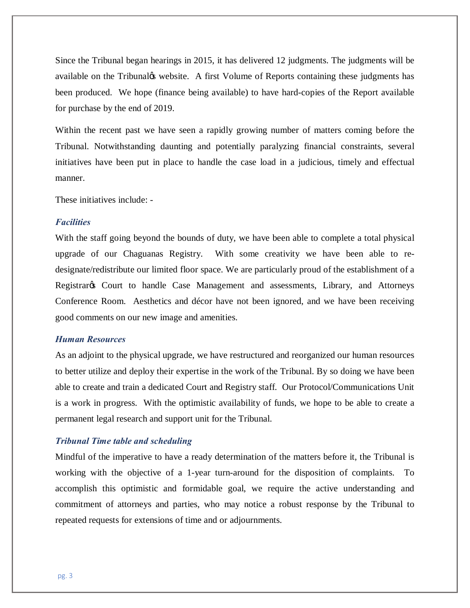Since the Tribunal began hearings in 2015, it has delivered 12 judgments. The judgments will be available on the Tribunal<sub>'s</sub> website. A first Volume of Reports containing these judgments has been produced. We hope (finance being available) to have hard-copies of the Report available for purchase by the end of 2019.

Within the recent past we have seen a rapidly growing number of matters coming before the Tribunal. Notwithstanding daunting and potentially paralyzing financial constraints, several initiatives have been put in place to handle the case load in a judicious, timely and effectual manner.

These initiatives include: -

#### *Facilities*

With the staff going beyond the bounds of duty, we have been able to complete a total physical upgrade of our Chaguanas Registry. With some creativity we have been able to redesignate/redistribute our limited floor space. We are particularly proud of the establishment of a Registrar<sub>g</sub> Court to handle Case Management and assessments, Library, and Attorneys Conference Room. Aesthetics and décor have not been ignored, and we have been receiving good comments on our new image and amenities.

#### *Human Resources*

As an adjoint to the physical upgrade, we have restructured and reorganized our human resources to better utilize and deploy their expertise in the work of the Tribunal. By so doing we have been able to create and train a dedicated Court and Registry staff. Our Protocol/Communications Unit is a work in progress. With the optimistic availability of funds, we hope to be able to create a permanent legal research and support unit for the Tribunal.

#### *Tribunal Time table and scheduling*

Mindful of the imperative to have a ready determination of the matters before it, the Tribunal is working with the objective of a 1-year turn-around for the disposition of complaints. To accomplish this optimistic and formidable goal, we require the active understanding and commitment of attorneys and parties, who may notice a robust response by the Tribunal to repeated requests for extensions of time and or adjournments.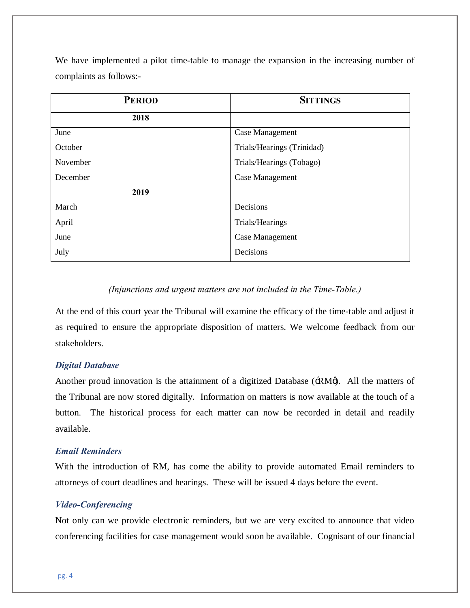We have implemented a pilot time-table to manage the expansion in the increasing number of complaints as follows:-

| <b>PERIOD</b> | <b>SITTINGS</b>            |
|---------------|----------------------------|
| 2018          |                            |
| June          | Case Management            |
| October       | Trials/Hearings (Trinidad) |
| November      | Trials/Hearings (Tobago)   |
| December      | Case Management            |
| 2019          |                            |
| March         | Decisions                  |
| April         | Trials/Hearings            |
| June          | <b>Case Management</b>     |
| July          | Decisions                  |

#### *(Injunctions and urgent matters are not included in the Time-Table.)*

At the end of this court year the Tribunal will examine the efficacy of the time-table and adjust it as required to ensure the appropriate disposition of matters. We welcome feedback from our stakeholders.

#### *Digital Database*

Another proud innovation is the attainment of a digitized Database ( $\pm RM\phi$ ). All the matters of the Tribunal are now stored digitally. Information on matters is now available at the touch of a button. The historical process for each matter can now be recorded in detail and readily available.

#### *Email Reminders*

With the introduction of RM, has come the ability to provide automated Email reminders to attorneys of court deadlines and hearings. These will be issued 4 days before the event.

#### *Video-Conferencing*

Not only can we provide electronic reminders, but we are very excited to announce that video conferencing facilities for case management would soon be available. Cognisant of our financial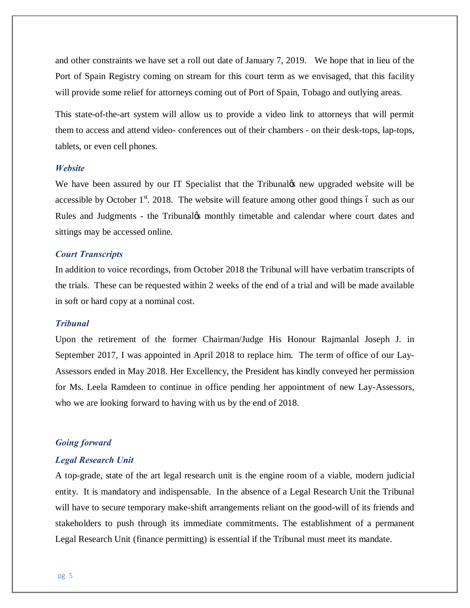and other constraints we have set a roll out date of January 7, 2019. We hope that in lieu of the Port of Spain Registry coming on stream for this court term as we envisaged, that this facility will provide some relief for attorneys coming out of Port of Spain, Tobago and outlying areas.

This state-of-the-art system will allow us to provide a video link to attorneys that will permit them to access and attend video- conferences out of their chambers - on their desk-tops, lap-tops, tablets, or even cell phones.

#### *Website*

We have been assured by our IT Specialist that the Tribunal ts new upgraded website will be accessible by October  $1<sup>st</sup>$ . 2018. The website will feature among other good things 6 such as our Rules and Judgments - the Tribunaløs monthly timetable and calendar where court dates and sittings may be accessed online.

#### *Court Transcripts*

In addition to voice recordings, from October 2018 the Tribunal will have verbatim transcripts of the trials. These can be requested within 2 weeks of the end of a trial and will be made available in soft or hard copy at a nominal cost.

#### *Tribunal*

Upon the retirement of the former Chairman/Judge His Honour Rajmanlal Joseph J. in September 2017, I was appointed in April 2018 to replace him. The term of office of our Lay-Assessors ended in May 2018. Her Excellency, the President has kindly conveyed her permission for Ms. Leela Ramdeen to continue in office pending her appointment of new Lay-Assessors, who we are looking forward to having with us by the end of 2018.

#### *Going forward*

#### *Legal Research Unit*

A top-grade, state of the art legal research unit is the engine room of a viable, modern judicial entity. It is mandatory and indispensable. In the absence of a Legal Research Unit the Tribunal will have to secure temporary make-shift arrangements reliant on the good-will of its friends and stakeholders to push through its immediate commitments. The establishment of a permanent Legal Research Unit (finance permitting) is essential if the Tribunal must meet its mandate.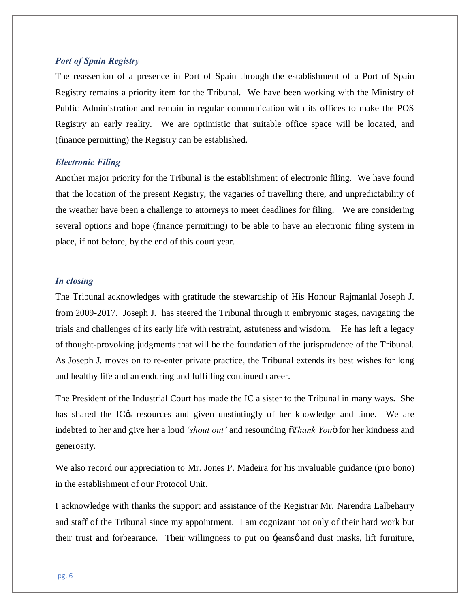#### *Port of Spain Registry*

The reassertion of a presence in Port of Spain through the establishment of a Port of Spain Registry remains a priority item for the Tribunal. We have been working with the Ministry of Public Administration and remain in regular communication with its offices to make the POS Registry an early reality. We are optimistic that suitable office space will be located, and (finance permitting) the Registry can be established.

#### *Electronic Filing*

Another major priority for the Tribunal is the establishment of electronic filing. We have found that the location of the present Registry, the vagaries of travelling there, and unpredictability of the weather have been a challenge to attorneys to meet deadlines for filing. We are considering several options and hope (finance permitting) to be able to have an electronic filing system in place, if not before, by the end of this court year.

#### *In closing*

The Tribunal acknowledges with gratitude the stewardship of His Honour Rajmanlal Joseph J. from 2009-2017. Joseph J. has steered the Tribunal through it embryonic stages, navigating the trials and challenges of its early life with restraint, astuteness and wisdom. He has left a legacy of thought-provoking judgments that will be the foundation of the jurisprudence of the Tribunal. As Joseph J. moves on to re-enter private practice, the Tribunal extends its best wishes for long and healthy life and an enduring and fulfilling continued career.

The President of the Industrial Court has made the IC a sister to the Tribunal in many ways. She has shared the IC $\alpha$  resources and given unstintingly of her knowledge and time. We are indebted to her and give her a loud *'shout out'* and resounding  $\tilde{\sigma}$ *Thank You*" for her kindness and generosity.

We also record our appreciation to Mr. Jones P. Madeira for his invaluable guidance (pro bono) in the establishment of our Protocol Unit.

I acknowledge with thanks the support and assistance of the Registrar Mr. Narendra Lalbeharry and staff of the Tribunal since my appointment. I am cognizant not only of their hard work but their trust and forbearance. Their willingness to put on  $\frac{1}{2}$  jeans  $\phi$  and dust masks, lift furniture,